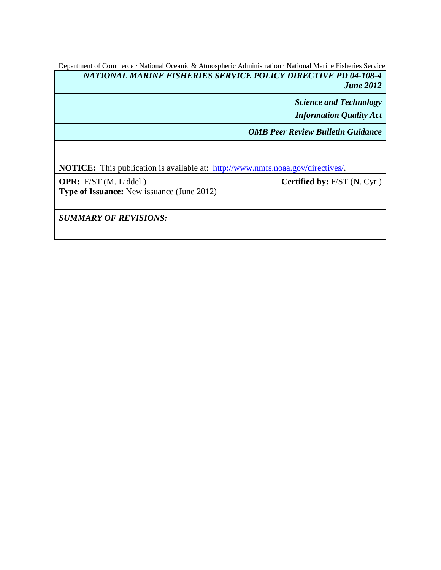Department of Commerce · National Oceanic & Atmospheric Administration · National Marine Fisheries Service *NATIONAL MARINE FISHERIES SERVICE POLICY DIRECTIVE PD 04-108-4 June 2012*

> *Science and Technology Information Quality Act*

*OMB Peer Review Bulletin Guidance*

**NOTICE:** This publication is available at: http://www.nmfs.noaa.gov/directives/.

**OPR:** F/ST (M. Liddel ) **Type of Issuance:** New issuance (June 2012) **Certified by:** F/ST (N. Cyr )

*SUMMARY OF REVISIONS:*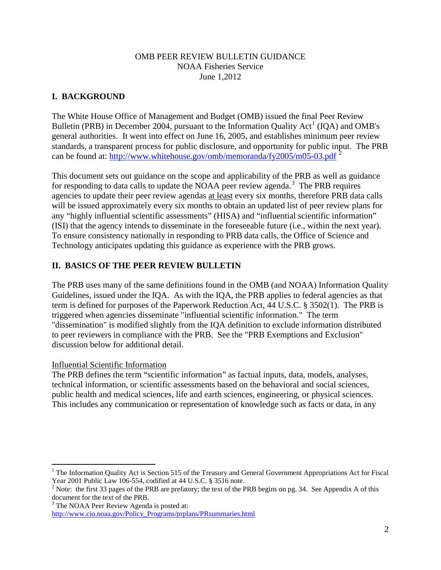### OMB PEER REVIEW BULLETIN GUIDANCE NOAA Fisheries Service June 1,2012

# **I. BACKGROUND**

The White House Office of Management and Budget (OMB) issued the final Peer Review Bulletin (PRB) in December 2004, pursuant to the Information Quality Act<sup>[1](#page-1-0)</sup> (IQA) and OMB's can be found at: <http://www.whitehouse.gov/omb/memoranda/fy2005/m05-03.pdf><sup>[2](#page-1-1)</sup> general authorities. It went into effect on June 16, 2005, and establishes minimum peer review standards, a transparent process for public disclosure, and opportunity for public input. The PRB

This document sets out guidance on the scope and applicability of the PRB as well as guidance for responding to data calls to update the NOAA peer review agenda.<sup>[3](#page-1-2)</sup> The PRB requires agencies to update their peer review agendas at least every six months, therefore PRB data calls will be issued approximately every six months to obtain an updated list of peer review plans for any "highly influential scientific assessments" (HISA) and "influential scientific information" (ISI) that the agency intends to disseminate in the foreseeable future (i.e., within the next year). To ensure consistency nationally in responding to PRB data calls, the Office of Science and Technology anticipates updating this guidance as experience with the PRB grows.

# **II. BASICS OF THE PEER REVIEW BULLETIN**

The PRB uses many of the same definitions found in the OMB (and NOAA) Information Quality Guidelines, issued under the IQA. As with the IQA, the PRB applies to federal agencies as that term is defined for purposes of the Paperwork Reduction Act, 44 U.S.C. § 3502(1). The PRB is triggered when agencies disseminate "influential scientific information." The term "dissemination" is modified slightly from the IQA definition to exclude information distributed to peer reviewers in compliance with the PRB. See the "PRB Exemptions and Exclusion" discussion below for additional detail.

# Influential Scientific Information

The PRB defines the term "scientific information" as factual inputs, data, models, analyses, technical information, or scientific assessments based on the behavioral and social sciences, public health and medical sciences, life and earth sciences, engineering, or physical sciences. This includes any communication or representation of knowledge such as facts or data, in any

<span id="page-1-0"></span><sup>&</sup>lt;sup>1</sup> The Information Quality Act is Section 515 of the Treasury and General Government Appropriations Act for Fiscal Year 2001 Public Law 106-554, codified at 44 U.S.C.  $\S$  3516 note.

<span id="page-1-1"></span><sup>&</sup>lt;sup>2</sup> Note: the first 33 pages of the PRB are prefatory; the text of the PRB begins on pg. 34. See Appendix A of this document for the text of the PRB.

<span id="page-1-2"></span> $3$  The NOAA Peer Review Agenda is posted at: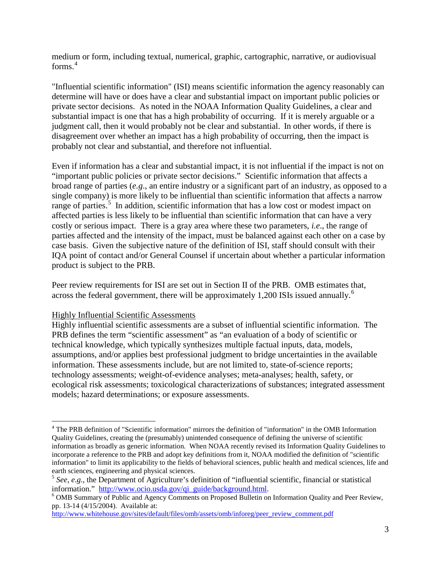medium or form, including textual, numerical, graphic, cartographic, narrative, or audiovisual forms. [4](#page-2-0)

"Influential scientific information" (ISI) means scientific information the agency reasonably can determine will have or does have a clear and substantial impact on important public policies or private sector decisions. As noted in the NOAA Information Quality Guidelines, a clear and substantial impact is one that has a high probability of occurring. If it is merely arguable or a judgment call, then it would probably not be clear and substantial. In other words, if there is disagreement over whether an impact has a high probability of occurring, then the impact is probably not clear and substantial, and therefore not influential.

Even if information has a clear and substantial impact, it is not influential if the impact is not on "important public policies or private sector decisions." Scientific information that affects a broad range of parties (*e.g*., an entire industry or a significant part of an industry, as opposed to a single company) is more likely to be influential than scientific information that affects a narrow range of parties.<sup>[5](#page-2-1)</sup> In addition, scientific information that has a low cost or modest impact on affected parties is less likely to be influential than scientific information that can have a very costly or serious impact. There is a gray area where these two parameters, *i.e*., the range of parties affected and the intensity of the impact, must be balanced against each other on a case by case basis. Given the subjective nature of the definition of ISI, staff should consult with their IQA point of contact and/or General Counsel if uncertain about whether a particular information product is subject to the PRB.

Peer review requirements for ISI are set out in Section II of the PRB. OMB estimates that, across the federal government, there will be approximately 1,200 ISIs issued annually.<sup>[6](#page-2-2)</sup>

#### Highly Influential Scientific Assessments

Highly influential scientific assessments are a subset of influential scientific information. The PRB defines the term "scientific assessment" as "an evaluation of a body of scientific or technical knowledge, which typically synthesizes multiple factual inputs, data, models, assumptions, and/or applies best professional judgment to bridge uncertainties in the available information. These assessments include, but are not limited to, state-of-science reports; technology assessments; weight-of-evidence analyses; meta-analyses; health, safety, or ecological risk assessments; toxicological characterizations of substances; integrated assessment models; hazard determinations; or exposure assessments.

[http://www.whitehouse.gov/sites/default/files/omb/assets/omb/inforeg/peer\\_review\\_comment.pdf](http://www.whitehouse.gov/sites/default/files/omb/assets/omb/inforeg/peer_review_comment.pdf)

<span id="page-2-0"></span><sup>&</sup>lt;sup>4</sup> The PRB definition of "Scientific information" mirrors the definition of "information" in the OMB Information Quality Guidelines, creating the (presumably) unintended consequence of defining the universe of scientific information as broadly as generic information. When NOAA recently revised its Information Quality Guidelines to incorporate a reference to the PRB and adopt key definitions from it, NOAA modified the definition of "scientific information" to limit its applicability to the fields of behavioral sciences, public health and medical sciences, life and earth sciences, engineering and physical sciences.

<span id="page-2-1"></span><sup>&</sup>lt;sup>5</sup> *See*, *e.g.*, the Department of Agriculture's definition of "influential scientific, financial or statistical information." http://www.ocio.usda.gov/qi guide/background.html.

<span id="page-2-2"></span> $\delta$  OMB Summary of Public and Agency Comments on Proposed Bulletin on Information Quality and Peer Review, pp. 13-14 (4/15/2004). Available at: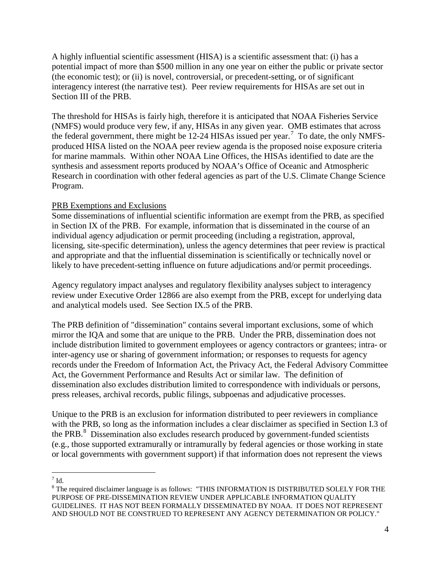A highly influential scientific assessment (HISA) is a scientific assessment that: (i) has a potential impact of more than \$500 million in any one year on either the public or private sector (the economic test); or (ii) is novel, controversial, or precedent-setting, or of significant interagency interest (the narrative test). Peer review requirements for HISAs are set out in Section III of the PRB.

The threshold for HISAs is fairly high, therefore it is anticipated that NOAA Fisheries Service (NMFS) would produce very few, if any, HISAs in any given year. OMB estimates that across the federal government, there might be  $12-24$  HISAs issued per year.<sup>[7](#page-3-0)</sup> To date, the only NMFSproduced HISA listed on the NOAA peer review agenda is the proposed noise exposure criteria for marine mammals. Within other NOAA Line Offices, the HISAs identified to date are the synthesis and assessment reports produced by NOAA's Office of Oceanic and Atmospheric Research in coordination with other federal agencies as part of the U.S. Climate Change Science Program.

### PRB Exemptions and Exclusions

Some disseminations of influential scientific information are exempt from the PRB, as specified in Section IX of the PRB. For example, information that is disseminated in the course of an individual agency adjudication or permit proceeding (including a registration, approval, licensing, site-specific determination), unless the agency determines that peer review is practical and appropriate and that the influential dissemination is scientifically or technically novel or likely to have precedent-setting influence on future adjudications and/or permit proceedings.

Agency regulatory impact analyses and regulatory flexibility analyses subject to interagency review under Executive Order 12866 are also exempt from the PRB, except for underlying data and analytical models used. See Section IX.5 of the PRB.

The PRB definition of "dissemination" contains several important exclusions, some of which mirror the IQA and some that are unique to the PRB. Under the PRB, dissemination does not include distribution limited to government employees or agency contractors or grantees; intra- or inter-agency use or sharing of government information; or responses to requests for agency records under the Freedom of Information Act, the Privacy Act, the Federal Advisory Committee Act, the Government Performance and Results Act or similar law. The definition of dissemination also excludes distribution limited to correspondence with individuals or persons, press releases, archival records, public filings, subpoenas and adjudicative processes.

Unique to the PRB is an exclusion for information distributed to peer reviewers in compliance with the PRB, so long as the information includes a clear disclaimer as specified in Section I.3 of the PRB. $^{8}$  $^{8}$  $^{8}$  Dissemination also excludes research produced by government-funded scientists (e.g., those supported extramurally or intramurally by federal agencies or those working in state or local governments with government support) if that information does not represent the views

<span id="page-3-0"></span> $7 \text{ Id}$ 

<span id="page-3-1"></span><sup>8</sup> The required disclaimer language is as follows: "THIS INFORMATION IS DISTRIBUTED SOLELY FOR THE PURPOSE OF PRE-DISSEMINATION REVIEW UNDER APPLICABLE INFORMATION QUALITY GUIDELINES. IT HAS NOT BEEN FORMALLY DISSEMINATED BY NOAA. IT DOES NOT REPRESENT AND SHOULD NOT BE CONSTRUED TO REPRESENT ANY AGENCY DETERMINATION OR POLICY."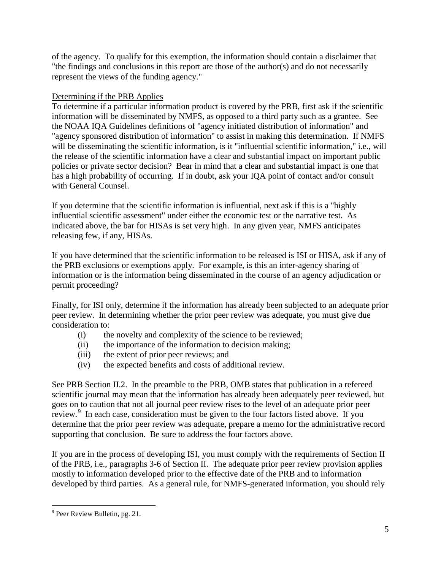of the agency. To qualify for this exemption, the information should contain a disclaimer that "the findings and conclusions in this report are those of the author(s) and do not necessarily represent the views of the funding agency."

## Determining if the PRB Applies

To determine if a particular information product is covered by the PRB, first ask if the scientific information will be disseminated by NMFS, as opposed to a third party such as a grantee. See the NOAA IQA Guidelines definitions of "agency initiated distribution of information" and "agency sponsored distribution of information" to assist in making this determination. If NMFS will be disseminating the scientific information, is it "influential scientific information," i.e., will the release of the scientific information have a clear and substantial impact on important public policies or private sector decision? Bear in mind that a clear and substantial impact is one that has a high probability of occurring. If in doubt, ask your IQA point of contact and/or consult with General Counsel.

If you determine that the scientific information is influential, next ask if this is a "highly influential scientific assessment" under either the economic test or the narrative test. As indicated above, the bar for HISAs is set very high. In any given year, NMFS anticipates releasing few, if any, HISAs.

If you have determined that the scientific information to be released is ISI or HISA, ask if any of the PRB exclusions or exemptions apply. For example, is this an inter-agency sharing of information or is the information being disseminated in the course of an agency adjudication or permit proceeding?

Finally, for ISI only, determine if the information has already been subjected to an adequate prior peer review. In determining whether the prior peer review was adequate, you must give due consideration to:

- (i) the novelty and complexity of the science to be reviewed;
- (ii) the importance of the information to decision making;
- (iii) the extent of prior peer reviews; and
- (iv) the expected benefits and costs of additional review.

See PRB Section II.2. In the preamble to the PRB, OMB states that publication in a refereed scientific journal may mean that the information has already been adequately peer reviewed, but goes on to caution that not all journal peer review rises to the level of an adequate prior peer review.<sup>[9](#page-4-0)</sup> In each case, consideration must be given to the four factors listed above. If you determine that the prior peer review was adequate, prepare a memo for the administrative record supporting that conclusion. Be sure to address the four factors above.

If you are in the process of developing ISI, you must comply with the requirements of Section II of the PRB, i.e., paragraphs 3-6 of Section II. The adequate prior peer review provision applies mostly to information developed prior to the effective date of the PRB and to information developed by third parties. As a general rule, for NMFS-generated information, you should rely

<span id="page-4-0"></span> $9$  Peer Review Bulletin, pg. 21.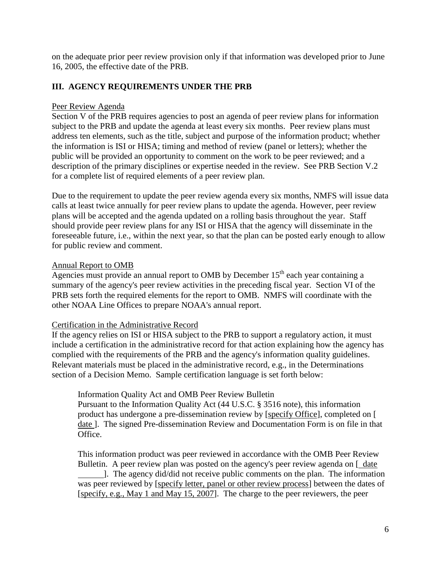on the adequate prior peer review provision only if that information was developed prior to June 16, 2005, the effective date of the PRB.

## **III. AGENCY REQUIREMENTS UNDER THE PRB**

### Peer Review Agenda

Section V of the PRB requires agencies to post an agenda of peer review plans for information subject to the PRB and update the agenda at least every six months. Peer review plans must address ten elements, such as the title, subject and purpose of the information product; whether the information is ISI or HISA; timing and method of review (panel or letters); whether the public will be provided an opportunity to comment on the work to be peer reviewed; and a description of the primary disciplines or expertise needed in the review. See PRB Section V.2 for a complete list of required elements of a peer review plan.

Due to the requirement to update the peer review agenda every six months, NMFS will issue data calls at least twice annually for peer review plans to update the agenda. However, peer review plans will be accepted and the agenda updated on a rolling basis throughout the year. Staff should provide peer review plans for any ISI or HISA that the agency will disseminate in the foreseeable future, i.e., within the next year, so that the plan can be posted early enough to allow for public review and comment.

### Annual Report to OMB

Agencies must provide an annual report to OMB by December  $15<sup>th</sup>$  each year containing a summary of the agency's peer review activities in the preceding fiscal year. Section VI of the PRB sets forth the required elements for the report to OMB. NMFS will coordinate with the other NOAA Line Offices to prepare NOAA's annual report.

#### Certification in the Administrative Record

If the agency relies on ISI or HISA subject to the PRB to support a regulatory action, it must include a certification in the administrative record for that action explaining how the agency has complied with the requirements of the PRB and the agency's information quality guidelines. Relevant materials must be placed in the administrative record, e.g., in the Determinations section of a Decision Memo. Sample certification language is set forth below:

Information Quality Act and OMB Peer Review Bulletin

Pursuant to the Information Quality Act (44 U.S.C. § 3516 note), this information product has undergone a pre-dissemination review by [specify Office], completed on [ date ]. The signed Pre-dissemination Review and Documentation Form is on file in that Office.

This information product was peer reviewed in accordance with the OMB Peer Review Bulletin. A peer review plan was posted on the agency's peer review agenda on [ date ]. The agency did/did not receive public comments on the plan. The information was peer reviewed by [specify letter, panel or other review process] between the dates of [specify, e.g., May 1 and May 15, 2007]. The charge to the peer reviewers, the peer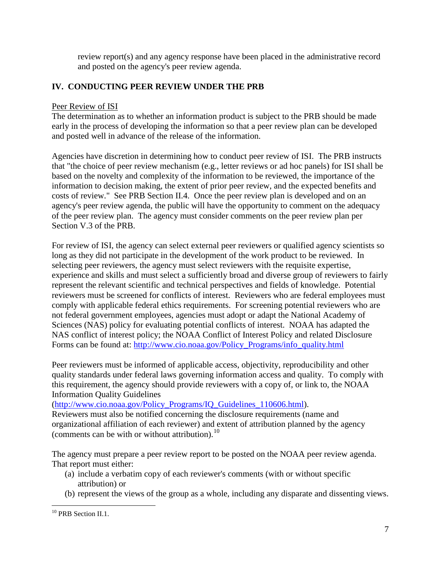review report(s) and any agency response have been placed in the administrative record and posted on the agency's peer review agenda.

# **IV. CONDUCTING PEER REVIEW UNDER THE PRB**

## Peer Review of ISI

The determination as to whether an information product is subject to the PRB should be made early in the process of developing the information so that a peer review plan can be developed and posted well in advance of the release of the information.

Agencies have discretion in determining how to conduct peer review of ISI. The PRB instructs that "the choice of peer review mechanism (e.g., letter reviews or ad hoc panels) for ISI shall be based on the novelty and complexity of the information to be reviewed, the importance of the information to decision making, the extent of prior peer review, and the expected benefits and costs of review." See PRB Section II.4. Once the peer review plan is developed and on an agency's peer review agenda, the public will have the opportunity to comment on the adequacy of the peer review plan. The agency must consider comments on the peer review plan per Section V.3 of the PRB.

For review of ISI, the agency can select external peer reviewers or qualified agency scientists so long as they did not participate in the development of the work product to be reviewed. In selecting peer reviewers, the agency must select reviewers with the requisite expertise, experience and skills and must select a sufficiently broad and diverse group of reviewers to fairly represent the relevant scientific and technical perspectives and fields of knowledge. Potential reviewers must be screened for conflicts of interest. Reviewers who are federal employees must comply with applicable federal ethics requirements. For screening potential reviewers who are not federal government employees, agencies must adopt or adapt the National Academy of Sciences (NAS) policy for evaluating potential conflicts of interest. NOAA has adapted the NAS conflict of interest policy; the NOAA Conflict of Interest Policy and related Disclosure Forms can be found at: [http://www.cio.noaa.gov/Policy\\_Programs/info\\_quality.html](http://www.cio.noaa.gov/Policy_Programs/info_quality.html)

Peer reviewers must be informed of applicable access, objectivity, reproducibility and other quality standards under federal laws governing information access and quality. To comply with this requirement, the agency should provide reviewers with a copy of, or link to, the NOAA Information Quality Guidelines

(http://www.cio.noaa.gov/Policy Programs/IQ Guidelines 110606.html).

Reviewers must also be notified concerning the disclosure requirements (name and organizational affiliation of each reviewer) and extent of attribution planned by the agency (comments can be with or without attribution).[10](#page-6-0)

The agency must prepare a peer review report to be posted on the NOAA peer review agenda. That report must either:

- (a) include a verbatim copy of each reviewer's comments (with or without specific attribution) or
- (b) represent the views of the group as a whole, including any disparate and dissenting views.

<span id="page-6-0"></span><sup>&</sup>lt;sup>10</sup> PRB Section II.1.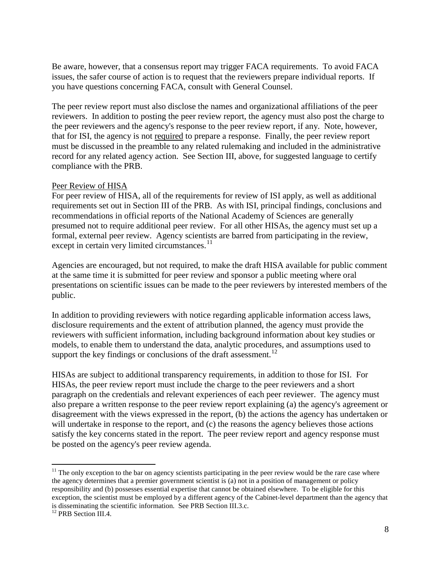Be aware, however, that a consensus report may trigger FACA requirements. To avoid FACA issues, the safer course of action is to request that the reviewers prepare individual reports. If you have questions concerning FACA, consult with General Counsel.

The peer review report must also disclose the names and organizational affiliations of the peer reviewers. In addition to posting the peer review report, the agency must also post the charge to the peer reviewers and the agency's response to the peer review report, if any. Note, however, that for ISI, the agency is not required to prepare a response. Finally, the peer review report must be discussed in the preamble to any related rulemaking and included in the administrative record for any related agency action. See Section III, above, for suggested language to certify compliance with the PRB.

#### Peer Review of HISA

For peer review of HISA, all of the requirements for review of ISI apply, as well as additional requirements set out in Section III of the PRB. As with ISI, principal findings, conclusions and recommendations in official reports of the National Academy of Sciences are generally presumed not to require additional peer review. For all other HISAs, the agency must set up a formal, external peer review. Agency scientists are barred from participating in the review, except in certain very limited circumstances.<sup>[11](#page-7-0)</sup>

Agencies are encouraged, but not required, to make the draft HISA available for public comment at the same time it is submitted for peer review and sponsor a public meeting where oral presentations on scientific issues can be made to the peer reviewers by interested members of the public.

In addition to providing reviewers with notice regarding applicable information access laws, disclosure requirements and the extent of attribution planned, the agency must provide the reviewers with sufficient information, including background information about key studies or models, to enable them to understand the data, analytic procedures, and assumptions used to support the key findings or conclusions of the draft assessment.<sup>[12](#page-7-1)</sup>

HISAs are subject to additional transparency requirements, in addition to those for ISI. For HISAs, the peer review report must include the charge to the peer reviewers and a short paragraph on the credentials and relevant experiences of each peer reviewer. The agency must also prepare a written response to the peer review report explaining (a) the agency's agreement or disagreement with the views expressed in the report, (b) the actions the agency has undertaken or will undertake in response to the report, and (c) the reasons the agency believes those actions satisfy the key concerns stated in the report. The peer review report and agency response must be posted on the agency's peer review agenda.

<span id="page-7-0"></span> $11$  The only exception to the bar on agency scientists participating in the peer review would be the rare case where the agency determines that a premier government scientist is (a) not in a position of management or policy responsibility and (b) possesses essential expertise that cannot be obtained elsewhere. To be eligible for this exception, the scientist must be employed by a different agency of the Cabinet-level department than the agency that is disseminating the scientific information. See PRB Section III.3.c.

<span id="page-7-1"></span><sup>&</sup>lt;sup>12</sup> PRB Section III.4.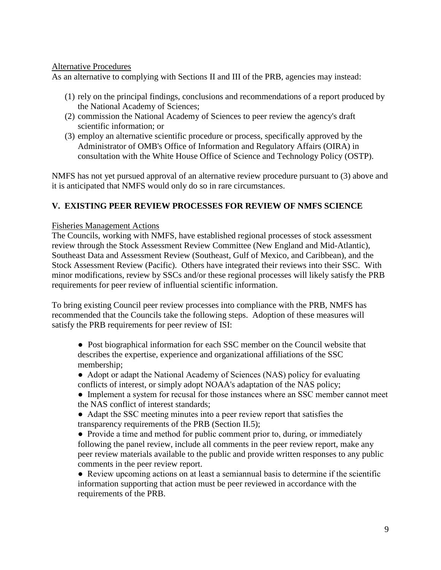### Alternative Procedures

As an alternative to complying with Sections II and III of the PRB, agencies may instead:

- (1) rely on the principal findings, conclusions and recommendations of a report produced by the National Academy of Sciences;
- (2) commission the National Academy of Sciences to peer review the agency's draft scientific information; or
- (3) employ an alternative scientific procedure or process, specifically approved by the Administrator of OMB's Office of Information and Regulatory Affairs (OIRA) in consultation with the White House Office of Science and Technology Policy (OSTP).

NMFS has not yet pursued approval of an alternative review procedure pursuant to (3) above and it is anticipated that NMFS would only do so in rare circumstances.

### **V. EXISTING PEER REVIEW PROCESSES FOR REVIEW OF NMFS SCIENCE**

### Fisheries Management Actions

The Councils, working with NMFS, have established regional processes of stock assessment review through the Stock Assessment Review Committee (New England and Mid-Atlantic), Southeast Data and Assessment Review (Southeast, Gulf of Mexico, and Caribbean), and the Stock Assessment Review (Pacific). Others have integrated their reviews into their SSC. With minor modifications, review by SSCs and/or these regional processes will likely satisfy the PRB requirements for peer review of influential scientific information.

To bring existing Council peer review processes into compliance with the PRB, NMFS has recommended that the Councils take the following steps. Adoption of these measures will satisfy the PRB requirements for peer review of ISI:

● Post biographical information for each SSC member on the Council website that describes the expertise, experience and organizational affiliations of the SSC membership;

- Adopt or adapt the National Academy of Sciences (NAS) policy for evaluating conflicts of interest, or simply adopt NOAA's adaptation of the NAS policy;
- Implement a system for recusal for those instances where an SSC member cannot meet the NAS conflict of interest standards;
- Adapt the SSC meeting minutes into a peer review report that satisfies the transparency requirements of the PRB (Section II.5);

• Provide a time and method for public comment prior to, during, or immediately following the panel review, include all comments in the peer review report, make any peer review materials available to the public and provide written responses to any public comments in the peer review report.

● Review upcoming actions on at least a semiannual basis to determine if the scientific information supporting that action must be peer reviewed in accordance with the requirements of the PRB.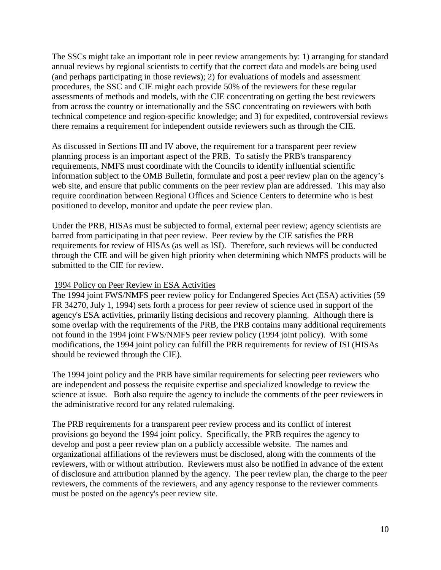The SSCs might take an important role in peer review arrangements by: 1) arranging for standard annual reviews by regional scientists to certify that the correct data and models are being used (and perhaps participating in those reviews); 2) for evaluations of models and assessment procedures, the SSC and CIE might each provide 50% of the reviewers for these regular assessments of methods and models, with the CIE concentrating on getting the best reviewers from across the country or internationally and the SSC concentrating on reviewers with both technical competence and region-specific knowledge; and 3) for expedited, controversial reviews there remains a requirement for independent outside reviewers such as through the CIE.

As discussed in Sections III and IV above, the requirement for a transparent peer review planning process is an important aspect of the PRB. To satisfy the PRB's transparency requirements, NMFS must coordinate with the Councils to identify influential scientific information subject to the OMB Bulletin, formulate and post a peer review plan on the agency's web site, and ensure that public comments on the peer review plan are addressed. This may also require coordination between Regional Offices and Science Centers to determine who is best positioned to develop, monitor and update the peer review plan.

Under the PRB, HISAs must be subjected to formal, external peer review; agency scientists are barred from participating in that peer review. Peer review by the CIE satisfies the PRB requirements for review of HISAs (as well as ISI). Therefore, such reviews will be conducted through the CIE and will be given high priority when determining which NMFS products will be submitted to the CIE for review.

### 1994 Policy on Peer Review in ESA Activities

The 1994 joint FWS/NMFS peer review policy for Endangered Species Act (ESA) activities (59 FR 34270, July 1, 1994) sets forth a process for peer review of science used in support of the agency's ESA activities, primarily listing decisions and recovery planning. Although there is some overlap with the requirements of the PRB, the PRB contains many additional requirements not found in the 1994 joint FWS/NMFS peer review policy (1994 joint policy). With some modifications, the 1994 joint policy can fulfill the PRB requirements for review of ISI (HISAs should be reviewed through the CIE).

The 1994 joint policy and the PRB have similar requirements for selecting peer reviewers who are independent and possess the requisite expertise and specialized knowledge to review the science at issue. Both also require the agency to include the comments of the peer reviewers in the administrative record for any related rulemaking.

The PRB requirements for a transparent peer review process and its conflict of interest provisions go beyond the 1994 joint policy. Specifically, the PRB requires the agency to develop and post a peer review plan on a publicly accessible website. The names and organizational affiliations of the reviewers must be disclosed, along with the comments of the reviewers, with or without attribution. Reviewers must also be notified in advance of the extent of disclosure and attribution planned by the agency. The peer review plan, the charge to the peer reviewers, the comments of the reviewers, and any agency response to the reviewer comments must be posted on the agency's peer review site.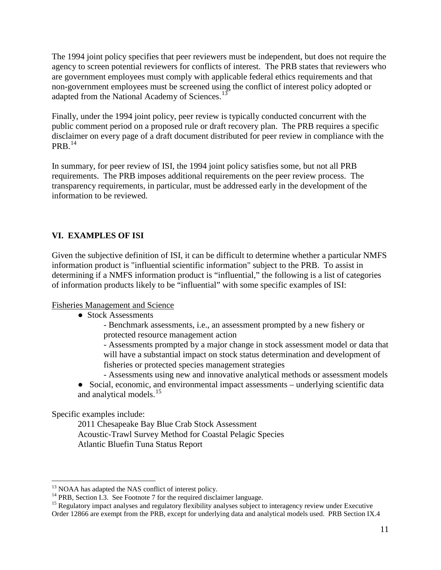The 1994 joint policy specifies that peer reviewers must be independent, but does not require the agency to screen potential reviewers for conflicts of interest. The PRB states that reviewers who are government employees must comply with applicable federal ethics requirements and that non-government employees must be screened using the conflict of interest policy adopted or adapted from the National Academy of Sciences.<sup>[13](#page-10-0)</sup>

Finally, under the 1994 joint policy, peer review is typically conducted concurrent with the public comment period on a proposed rule or draft recovery plan. The PRB requires a specific disclaimer on every page of a draft document distributed for peer review in compliance with the  $PRB.$ <sup>[14](#page-10-1)</sup>

In summary, for peer review of ISI, the 1994 joint policy satisfies some, but not all PRB requirements. The PRB imposes additional requirements on the peer review process. The transparency requirements, in particular, must be addressed early in the development of the information to be reviewed.

# **VI. EXAMPLES OF ISI**

Given the subjective definition of ISI, it can be difficult to determine whether a particular NMFS information product is "influential scientific information" subject to the PRB. To assist in determining if a NMFS information product is "influential," the following is a list of categories of information products likely to be "influential" with some specific examples of ISI:

#### Fisheries Management and Science

• Stock Assessments

- Benchmark assessments, i.e., an assessment prompted by a new fishery or protected resource management action

- Assessments prompted by a major change in stock assessment model or data that will have a substantial impact on stock status determination and development of fisheries or protected species management strategies

- Assessments using new and innovative analytical methods or assessment models

• Social, economic, and environmental impact assessments – underlying scientific data and analytical models.<sup>[15](#page-10-2)</sup>

Specific examples include:

2011 Chesapeake Bay Blue Crab Stock Assessment Acoustic-Trawl Survey Method for Coastal Pelagic Species Atlantic Bluefin Tuna Status Report

<span id="page-10-2"></span><span id="page-10-1"></span>

<span id="page-10-0"></span><sup>&</sup>lt;sup>13</sup> NOAA has adapted the NAS conflict of interest policy.<br><sup>14</sup> PRB, Section I.3. See Footnote 7 for the required disclaimer language.<br><sup>15</sup> Regulatory impact analyses and regulatory flexibility analyses subject to interag Order 12866 are exempt from the PRB, except for underlying data and analytical models used. PRB Section IX.4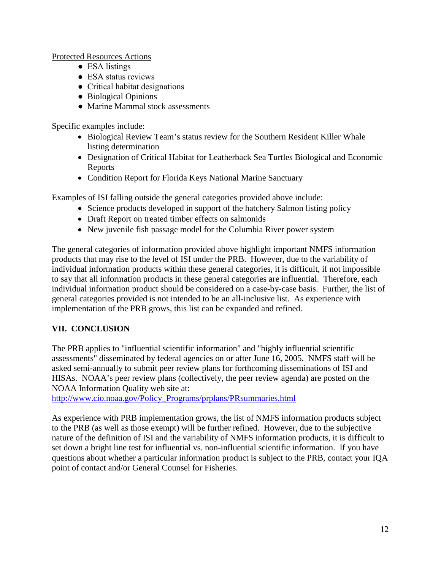Protected Resources Actions

- ESA listings
- ESA status reviews
- Critical habitat designations
- Biological Opinions
- Marine Mammal stock assessments

Specific examples include:

- Biological Review Team's status review for the Southern Resident Killer Whale listing determination
- Designation of Critical Habitat for Leatherback Sea Turtles Biological and Economic Reports
- Condition Report for Florida Keys National Marine Sanctuary

Examples of ISI falling outside the general categories provided above include:

- Science products developed in support of the hatchery Salmon listing policy
- Draft Report on treated timber effects on salmonids
- New juvenile fish passage model for the Columbia River power system

The general categories of information provided above highlight important NMFS information products that may rise to the level of ISI under the PRB. However, due to the variability of individual information products within these general categories, it is difficult, if not impossible to say that all information products in these general categories are influential. Therefore, each individual information product should be considered on a case-by-case basis. Further, the list of general categories provided is not intended to be an all-inclusive list. As experience with implementation of the PRB grows, this list can be expanded and refined.

# **VII. CONCLUSION**

The PRB applies to "influential scientific information" and "highly influential scientific assessments" disseminated by federal agencies on or after June 16, 2005. NMFS staff will be asked semi-annually to submit peer review plans for forthcoming disseminations of ISI and HISAs. NOAA's peer review plans (collectively, the peer review agenda) are posted on the NOAA Information Quality web site at:

[http://www.cio.noaa.gov/Policy\\_Programs/prplans/PRsummaries.html](http://www.cio.noaa.gov/Policy_Programs/prplans/PRsummaries.html)

As experience with PRB implementation grows, the list of NMFS information products subject to the PRB (as well as those exempt) will be further refined. However, due to the subjective nature of the definition of ISI and the variability of NMFS information products, it is difficult to set down a bright line test for influential vs. non-influential scientific information. If you have questions about whether a particular information product is subject to the PRB, contact your IQA point of contact and/or General Counsel for Fisheries.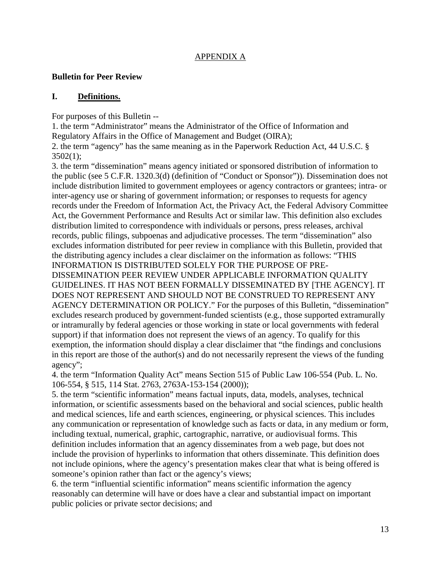## APPENDIX A

## **Bulletin for Peer Review**

## **I. Definitions.**

For purposes of this Bulletin --

1. the term "Administrator" means the Administrator of the Office of Information and Regulatory Affairs in the Office of Management and Budget (OIRA);

2. the term "agency" has the same meaning as in the Paperwork Reduction Act, 44 U.S.C. § 3502(1);

3. the term "dissemination" means agency initiated or sponsored distribution of information to the public (see 5 C.F.R. 1320.3(d) (definition of "Conduct or Sponsor")). Dissemination does not include distribution limited to government employees or agency contractors or grantees; intra- or inter-agency use or sharing of government information; or responses to requests for agency records under the Freedom of Information Act, the Privacy Act, the Federal Advisory Committee Act, the Government Performance and Results Act or similar law. This definition also excludes distribution limited to correspondence with individuals or persons, press releases, archival records, public filings, subpoenas and adjudicative processes. The term "dissemination" also excludes information distributed for peer review in compliance with this Bulletin, provided that the distributing agency includes a clear disclaimer on the information as follows: "THIS INFORMATION IS DISTRIBUTED SOLELY FOR THE PURPOSE OF PRE-DISSEMINATION PEER REVIEW UNDER APPLICABLE INFORMATION QUALITY GUIDELINES. IT HAS NOT BEEN FORMALLY DISSEMINATED BY [THE AGENCY]. IT DOES NOT REPRESENT AND SHOULD NOT BE CONSTRUED TO REPRESENT ANY AGENCY DETERMINATION OR POLICY." For the purposes of this Bulletin, "dissemination" excludes research produced by government-funded scientists (e.g., those supported extramurally or intramurally by federal agencies or those working in state or local governments with federal support) if that information does not represent the views of an agency. To qualify for this exemption, the information should display a clear disclaimer that "the findings and conclusions in this report are those of the author(s) and do not necessarily represent the views of the funding agency";

4. the term "Information Quality Act" means Section 515 of Public Law 106-554 (Pub. L. No. 106-554, § 515, 114 Stat. 2763, 2763A-153-154 (2000));

5. the term "scientific information" means factual inputs, data, models, analyses, technical information, or scientific assessments based on the behavioral and social sciences, public health and medical sciences, life and earth sciences, engineering, or physical sciences. This includes any communication or representation of knowledge such as facts or data, in any medium or form, including textual, numerical, graphic, cartographic, narrative, or audiovisual forms. This definition includes information that an agency disseminates from a web page, but does not include the provision of hyperlinks to information that others disseminate. This definition does not include opinions, where the agency's presentation makes clear that what is being offered is someone's opinion rather than fact or the agency's views;

6. the term "influential scientific information" means scientific information the agency reasonably can determine will have or does have a clear and substantial impact on important public policies or private sector decisions; and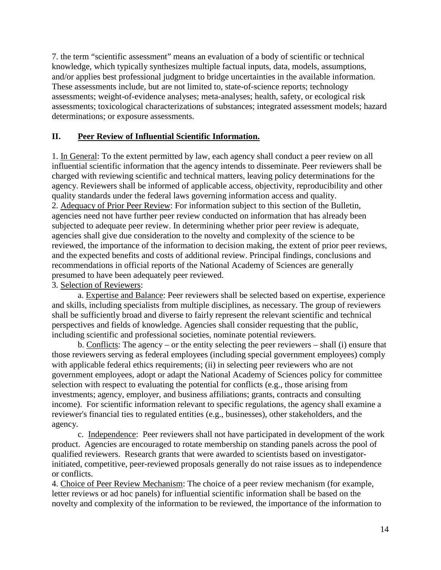7. the term "scientific assessment" means an evaluation of a body of scientific or technical knowledge, which typically synthesizes multiple factual inputs, data, models, assumptions, and/or applies best professional judgment to bridge uncertainties in the available information. These assessments include, but are not limited to, state-of-science reports; technology assessments; weight-of-evidence analyses; meta-analyses; health, safety, or ecological risk assessments; toxicological characterizations of substances; integrated assessment models; hazard determinations; or exposure assessments.

# **II. Peer Review of Influential Scientific Information.**

1. In General: To the extent permitted by law, each agency shall conduct a peer review on all influential scientific information that the agency intends to disseminate. Peer reviewers shall be charged with reviewing scientific and technical matters, leaving policy determinations for the agency. Reviewers shall be informed of applicable access, objectivity, reproducibility and other quality standards under the federal laws governing information access and quality. 2. Adequacy of Prior Peer Review: For information subject to this section of the Bulletin, agencies need not have further peer review conducted on information that has already been subjected to adequate peer review. In determining whether prior peer review is adequate, agencies shall give due consideration to the novelty and complexity of the science to be reviewed, the importance of the information to decision making, the extent of prior peer reviews, and the expected benefits and costs of additional review. Principal findings, conclusions and recommendations in official reports of the National Academy of Sciences are generally presumed to have been adequately peer reviewed.

### 3. Selection of Reviewers:

a. Expertise and Balance: Peer reviewers shall be selected based on expertise, experience and skills, including specialists from multiple disciplines, as necessary. The group of reviewers shall be sufficiently broad and diverse to fairly represent the relevant scientific and technical perspectives and fields of knowledge. Agencies shall consider requesting that the public, including scientific and professional societies, nominate potential reviewers.

b. Conflicts: The agency – or the entity selecting the peer reviewers – shall (i) ensure that those reviewers serving as federal employees (including special government employees) comply with applicable federal ethics requirements; (ii) in selecting peer reviewers who are not government employees, adopt or adapt the National Academy of Sciences policy for committee selection with respect to evaluating the potential for conflicts (e.g., those arising from investments; agency, employer, and business affiliations; grants, contracts and consulting income). For scientific information relevant to specific regulations, the agency shall examine a reviewer's financial ties to regulated entities (e.g., businesses), other stakeholders, and the agency.

c. Independence: Peer reviewers shall not have participated in development of the work product. Agencies are encouraged to rotate membership on standing panels across the pool of qualified reviewers. Research grants that were awarded to scientists based on investigatorinitiated, competitive, peer-reviewed proposals generally do not raise issues as to independence or conflicts.

4. Choice of Peer Review Mechanism: The choice of a peer review mechanism (for example, letter reviews or ad hoc panels) for influential scientific information shall be based on the novelty and complexity of the information to be reviewed, the importance of the information to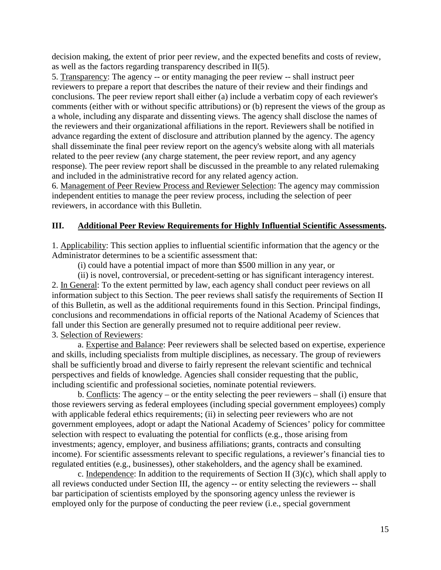decision making, the extent of prior peer review, and the expected benefits and costs of review, as well as the factors regarding transparency described in II(5).

5. Transparency: The agency -- or entity managing the peer review -- shall instruct peer reviewers to prepare a report that describes the nature of their review and their findings and conclusions. The peer review report shall either (a) include a verbatim copy of each reviewer's comments (either with or without specific attributions) or (b) represent the views of the group as a whole, including any disparate and dissenting views. The agency shall disclose the names of the reviewers and their organizational affiliations in the report. Reviewers shall be notified in advance regarding the extent of disclosure and attribution planned by the agency. The agency shall disseminate the final peer review report on the agency's website along with all materials related to the peer review (any charge statement, the peer review report, and any agency response). The peer review report shall be discussed in the preamble to any related rulemaking and included in the administrative record for any related agency action.

6. Management of Peer Review Process and Reviewer Selection: The agency may commission independent entities to manage the peer review process, including the selection of peer reviewers, in accordance with this Bulletin.

### **III. Additional Peer Review Requirements for Highly Influential Scientific Assessments.**

1. Applicability: This section applies to influential scientific information that the agency or the Administrator determines to be a scientific assessment that:

(i) could have a potential impact of more than \$500 million in any year, or

(ii) is novel, controversial, or precedent-setting or has significant interagency interest. 2. In General: To the extent permitted by law, each agency shall conduct peer reviews on all information subject to this Section. The peer reviews shall satisfy the requirements of Section II of this Bulletin, as well as the additional requirements found in this Section. Principal findings, conclusions and recommendations in official reports of the National Academy of Sciences that fall under this Section are generally presumed not to require additional peer review. 3. Selection of Reviewers:

a. Expertise and Balance: Peer reviewers shall be selected based on expertise, experience and skills, including specialists from multiple disciplines, as necessary. The group of reviewers shall be sufficiently broad and diverse to fairly represent the relevant scientific and technical perspectives and fields of knowledge. Agencies shall consider requesting that the public, including scientific and professional societies, nominate potential reviewers.

b. Conflicts: The agency – or the entity selecting the peer reviewers – shall (i) ensure that those reviewers serving as federal employees (including special government employees) comply with applicable federal ethics requirements; (ii) in selecting peer reviewers who are not government employees, adopt or adapt the National Academy of Sciences' policy for committee selection with respect to evaluating the potential for conflicts (e.g., those arising from investments; agency, employer, and business affiliations; grants, contracts and consulting income). For scientific assessments relevant to specific regulations, a reviewer's financial ties to regulated entities (e.g., businesses), other stakeholders, and the agency shall be examined.

c. Independence: In addition to the requirements of Section II (3)(c), which shall apply to all reviews conducted under Section III, the agency -- or entity selecting the reviewers -- shall bar participation of scientists employed by the sponsoring agency unless the reviewer is employed only for the purpose of conducting the peer review (i.e., special government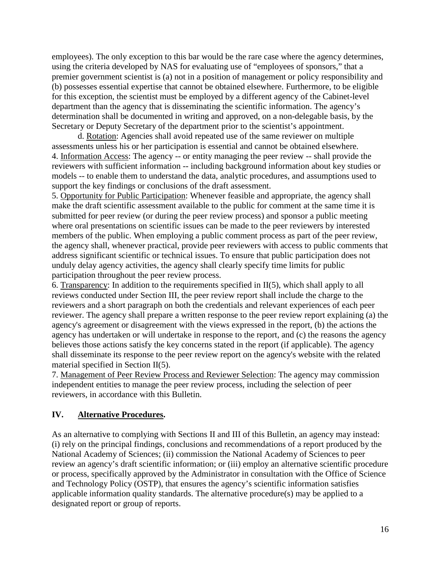employees). The only exception to this bar would be the rare case where the agency determines, using the criteria developed by NAS for evaluating use of "employees of sponsors," that a premier government scientist is (a) not in a position of management or policy responsibility and (b) possesses essential expertise that cannot be obtained elsewhere. Furthermore, to be eligible for this exception, the scientist must be employed by a different agency of the Cabinet-level department than the agency that is disseminating the scientific information. The agency's determination shall be documented in writing and approved, on a non-delegable basis, by the Secretary or Deputy Secretary of the department prior to the scientist's appointment.

d. Rotation: Agencies shall avoid repeated use of the same reviewer on multiple assessments unless his or her participation is essential and cannot be obtained elsewhere. 4. Information Access: The agency -- or entity managing the peer review -- shall provide the reviewers with sufficient information -- including background information about key studies or models -- to enable them to understand the data, analytic procedures, and assumptions used to support the key findings or conclusions of the draft assessment.

5. Opportunity for Public Participation: Whenever feasible and appropriate, the agency shall make the draft scientific assessment available to the public for comment at the same time it is submitted for peer review (or during the peer review process) and sponsor a public meeting where oral presentations on scientific issues can be made to the peer reviewers by interested members of the public. When employing a public comment process as part of the peer review, the agency shall, whenever practical, provide peer reviewers with access to public comments that address significant scientific or technical issues. To ensure that public participation does not unduly delay agency activities, the agency shall clearly specify time limits for public participation throughout the peer review process.

6. Transparency: In addition to the requirements specified in II(5), which shall apply to all reviews conducted under Section III, the peer review report shall include the charge to the reviewers and a short paragraph on both the credentials and relevant experiences of each peer reviewer. The agency shall prepare a written response to the peer review report explaining (a) the agency's agreement or disagreement with the views expressed in the report, (b) the actions the agency has undertaken or will undertake in response to the report, and (c) the reasons the agency believes those actions satisfy the key concerns stated in the report (if applicable). The agency shall disseminate its response to the peer review report on the agency's website with the related material specified in Section II(5).

7. Management of Peer Review Process and Reviewer Selection: The agency may commission independent entities to manage the peer review process, including the selection of peer reviewers, in accordance with this Bulletin.

### **IV. Alternative Procedures.**

As an alternative to complying with Sections II and III of this Bulletin, an agency may instead: (i) rely on the principal findings, conclusions and recommendations of a report produced by the National Academy of Sciences; (ii) commission the National Academy of Sciences to peer review an agency's draft scientific information; or (iii) employ an alternative scientific procedure or process, specifically approved by the Administrator in consultation with the Office of Science and Technology Policy (OSTP), that ensures the agency's scientific information satisfies applicable information quality standards. The alternative procedure(s) may be applied to a designated report or group of reports.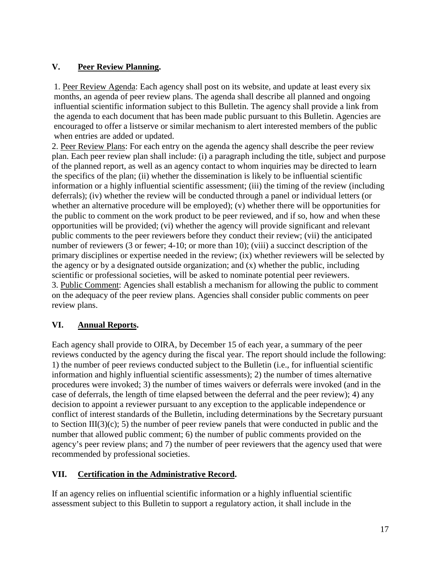# **V. Peer Review Planning.**

1. Peer Review Agenda: Each agency shall post on its website, and update at least every six months, an agenda of peer review plans. The agenda shall describe all planned and ongoing influential scientific information subject to this Bulletin. The agency shall provide a link from the agenda to each document that has been made public pursuant to this Bulletin. Agencies are encouraged to offer a listserve or similar mechanism to alert interested members of the public when entries are added or updated.

2. Peer Review Plans: For each entry on the agenda the agency shall describe the peer review plan. Each peer review plan shall include: (i) a paragraph including the title, subject and purpose of the planned report, as well as an agency contact to whom inquiries may be directed to learn the specifics of the plan; (ii) whether the dissemination is likely to be influential scientific information or a highly influential scientific assessment; (iii) the timing of the review (including deferrals); (iv) whether the review will be conducted through a panel or individual letters (or whether an alternative procedure will be employed); (v) whether there will be opportunities for the public to comment on the work product to be peer reviewed, and if so, how and when these opportunities will be provided; (vi) whether the agency will provide significant and relevant public comments to the peer reviewers before they conduct their review; (vii) the anticipated number of reviewers (3 or fewer; 4-10; or more than 10); (viii) a succinct description of the primary disciplines or expertise needed in the review; (ix) whether reviewers will be selected by the agency or by a designated outside organization; and (x) whether the public, including scientific or professional societies, will be asked to nominate potential peer reviewers. 3. Public Comment: Agencies shall establish a mechanism for allowing the public to comment on the adequacy of the peer review plans. Agencies shall consider public comments on peer review plans.

# **VI. Annual Reports.**

Each agency shall provide to OIRA, by December 15 of each year, a summary of the peer reviews conducted by the agency during the fiscal year. The report should include the following: 1) the number of peer reviews conducted subject to the Bulletin (i.e., for influential scientific information and highly influential scientific assessments); 2) the number of times alternative procedures were invoked; 3) the number of times waivers or deferrals were invoked (and in the case of deferrals, the length of time elapsed between the deferral and the peer review); 4) any decision to appoint a reviewer pursuant to any exception to the applicable independence or conflict of interest standards of the Bulletin, including determinations by the Secretary pursuant to Section III(3)(c); 5) the number of peer review panels that were conducted in public and the number that allowed public comment; 6) the number of public comments provided on the agency's peer review plans; and 7) the number of peer reviewers that the agency used that were recommended by professional societies.

# **VII. Certification in the Administrative Record.**

If an agency relies on influential scientific information or a highly influential scientific assessment subject to this Bulletin to support a regulatory action, it shall include in the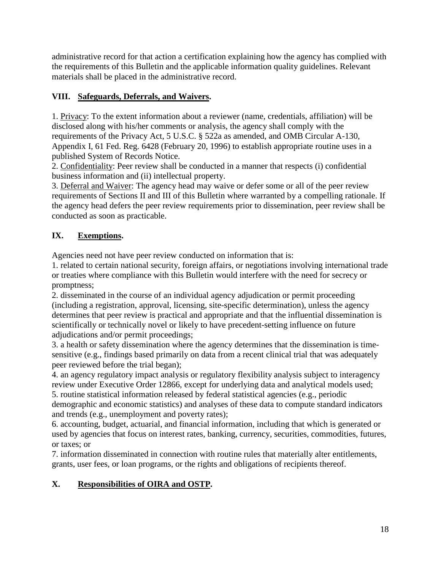administrative record for that action a certification explaining how the agency has complied with the requirements of this Bulletin and the applicable information quality guidelines. Relevant materials shall be placed in the administrative record.

# **VIII. Safeguards, Deferrals, and Waivers.**

1. Privacy: To the extent information about a reviewer (name, credentials, affiliation) will be disclosed along with his/her comments or analysis, the agency shall comply with the requirements of the Privacy Act, 5 U.S.C. § 522a as amended, and OMB Circular A-130, Appendix I, 61 Fed. Reg. 6428 (February 20, 1996) to establish appropriate routine uses in a published System of Records Notice.

2. Confidentiality: Peer review shall be conducted in a manner that respects (i) confidential business information and (ii) intellectual property.

3. Deferral and Waiver: The agency head may waive or defer some or all of the peer review requirements of Sections II and III of this Bulletin where warranted by a compelling rationale. If the agency head defers the peer review requirements prior to dissemination, peer review shall be conducted as soon as practicable.

# **IX. Exemptions.**

Agencies need not have peer review conducted on information that is:

1. related to certain national security, foreign affairs, or negotiations involving international trade or treaties where compliance with this Bulletin would interfere with the need for secrecy or promptness;

2. disseminated in the course of an individual agency adjudication or permit proceeding (including a registration, approval, licensing, site-specific determination), unless the agency determines that peer review is practical and appropriate and that the influential dissemination is scientifically or technically novel or likely to have precedent-setting influence on future adjudications and/or permit proceedings;

3. a health or safety dissemination where the agency determines that the dissemination is timesensitive (e.g., findings based primarily on data from a recent clinical trial that was adequately peer reviewed before the trial began);

4. an agency regulatory impact analysis or regulatory flexibility analysis subject to interagency review under Executive Order 12866, except for underlying data and analytical models used;

5. routine statistical information released by federal statistical agencies (e.g., periodic demographic and economic statistics) and analyses of these data to compute standard indicators and trends (e.g., unemployment and poverty rates);

6. accounting, budget, actuarial, and financial information, including that which is generated or used by agencies that focus on interest rates, banking, currency, securities, commodities, futures, or taxes; or

7. information disseminated in connection with routine rules that materially alter entitlements, grants, user fees, or loan programs, or the rights and obligations of recipients thereof.

# **X. Responsibilities of OIRA and OSTP.**